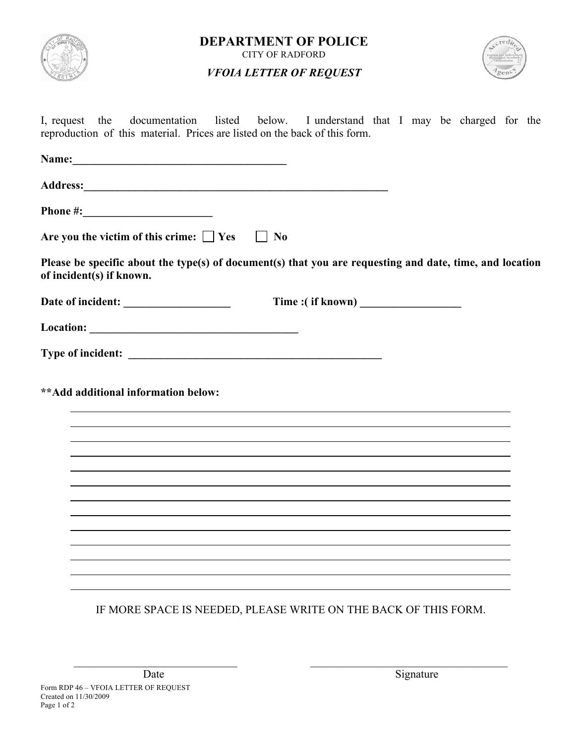

**DEPARTMENT OF POLICE** CITY OF RADFORD

# *VFOIA LETTER OF REQUEST*



I, request the documentation listed below. I understand that I may be charged for the reproduction of this material. Prices are listed on the back of this form.

| Name:<br><u> 1980 - Johann Barn, mars ann an t-Amhain Aonaich an t-Aonaich an t-Aonaich ann an t-Aonaich ann an t-Aonaich</u>                                                                                                                                                                          |                                                                                                          |
|--------------------------------------------------------------------------------------------------------------------------------------------------------------------------------------------------------------------------------------------------------------------------------------------------------|----------------------------------------------------------------------------------------------------------|
| Address: <u>Address:</u> Address: <b>Address:</b> Address: <b>Address:</b> Address: <b>Address: Address: Address: Address: Address: <b>Address: Address: Address: Address: Address: Address: Address: Address: Address: Address: Address: Address</b></b>                                              |                                                                                                          |
| Phone #: $\frac{1}{2}$ = $\frac{1}{2}$ = $\frac{1}{2}$ = $\frac{1}{2}$ = $\frac{1}{2}$ = $\frac{1}{2}$ = $\frac{1}{2}$ = $\frac{1}{2}$ = $\frac{1}{2}$ = $\frac{1}{2}$ = $\frac{1}{2}$ = $\frac{1}{2}$ = $\frac{1}{2}$ = $\frac{1}{2}$ = $\frac{1}{2}$ = $\frac{1}{2}$ = $\frac{1}{2}$ = $\frac{1}{2}$ |                                                                                                          |
| Are you the victim of this crime: $\Box$ Yes                                                                                                                                                                                                                                                           | $\vert$   No                                                                                             |
| of incident(s) if known.                                                                                                                                                                                                                                                                               | Please be specific about the type(s) of document(s) that you are requesting and date, time, and location |
|                                                                                                                                                                                                                                                                                                        |                                                                                                          |
|                                                                                                                                                                                                                                                                                                        |                                                                                                          |
|                                                                                                                                                                                                                                                                                                        |                                                                                                          |
| ** Add additional information below:                                                                                                                                                                                                                                                                   |                                                                                                          |
|                                                                                                                                                                                                                                                                                                        | IF MORE SPACE IS NEEDED, PLEASE WRITE ON THE BACK OF THIS FORM.                                          |

 $\_$  , and the contribution of the contribution of  $\mathcal{L}_\mathcal{A}$  , and the contribution of  $\mathcal{L}_\mathcal{A}$ 

Date Signature Signature